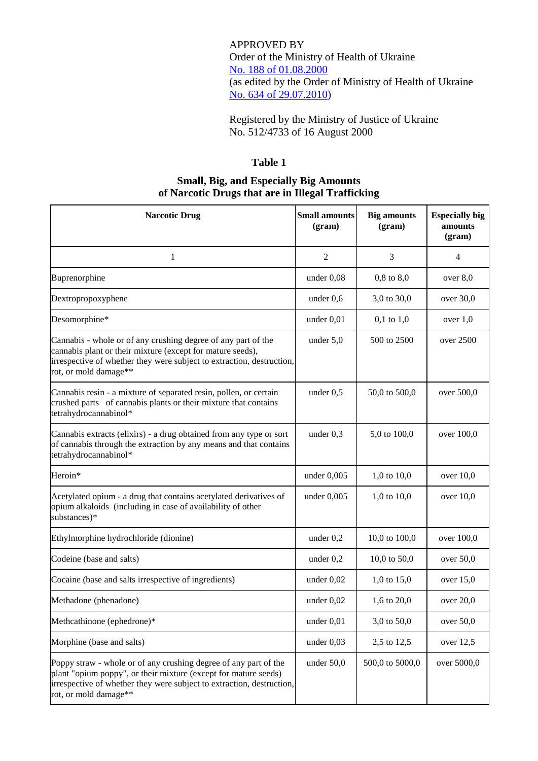APPROVED BY Order of the Ministry of Health of Ukraine No. [188 of 01.08.2000](https://cmhmda.org.ua/en/drug-related-legal-framework/order-of-ministry-of-health-188-of-01-08-2000/) (as edited by the Order of Ministry of Health of Ukraine [No. 634 of 29.07.2010\)](https://zakon.rada.gov.ua/laws/show/z0900-10)

Registered by the Ministry of Justice of Ukraine No. 512/4733 of 16 August 2000

## **Table 1**

## **Small, Big, and Especially Big Amounts of Narcotic Drugs that are in Illegal Trafficking**

| <b>Narcotic Drug</b>                                                                                                                                                                                                                  | <b>Small amounts</b><br>(gram) | <b>Big amounts</b><br>(gram) | <b>Especially big</b><br>amounts<br>(gram) |
|---------------------------------------------------------------------------------------------------------------------------------------------------------------------------------------------------------------------------------------|--------------------------------|------------------------------|--------------------------------------------|
| 1                                                                                                                                                                                                                                     | $\overline{2}$                 | 3                            | 4                                          |
| Buprenorphine                                                                                                                                                                                                                         | under 0,08                     | $0,8$ to $8,0$               | over $8,0$                                 |
| Dextropropoxyphene                                                                                                                                                                                                                    | under $0,6$                    | 3,0 to 30,0                  | over 30,0                                  |
| Desomorphine*                                                                                                                                                                                                                         | under $0,01$                   | $0,1$ to $1,0$               | over $1,0$                                 |
| Cannabis - whole or of any crushing degree of any part of the<br>cannabis plant or their mixture (except for mature seeds),<br>irrespective of whether they were subject to extraction, destruction,<br>rot, or mold damage**         | under $5,0$                    | 500 to 2500                  | over $2500$                                |
| Cannabis resin - a mixture of separated resin, pollen, or certain<br>crushed parts of cannabis plants or their mixture that contains<br>tetrahydrocannabinol*                                                                         | under $0,5$                    | 50,0 to 500,0                | over 500,0                                 |
| Cannabis extracts (elixirs) - a drug obtained from any type or sort<br>of cannabis through the extraction by any means and that contains<br>tetrahydrocannabinol*                                                                     | under $0,3$                    | 5,0 to 100,0                 | over 100,0                                 |
| Heroin*                                                                                                                                                                                                                               | under $0,005$                  | 1,0 to 10,0                  | over $10,0$                                |
| Acetylated opium - a drug that contains acetylated derivatives of<br>opium alkaloids (including in case of availability of other<br>substances)*                                                                                      | under $0,005$                  | 1,0 to 10,0                  | over $10,0$                                |
| Ethylmorphine hydrochloride (dionine)                                                                                                                                                                                                 | under $0,2$                    | 10,0 to 100,0                | over 100,0                                 |
| Codeine (base and salts)                                                                                                                                                                                                              | under $0,2$                    | 10,0 to $50,0$               | over 50,0                                  |
| Cocaine (base and salts irrespective of ingredients)                                                                                                                                                                                  | under $0,02$                   | 1,0 to 15,0                  | over $15,0$                                |
| Methadone (phenadone)                                                                                                                                                                                                                 | under $0,02$                   | 1,6 to 20,0                  | over 20,0                                  |
| Methcathinone (ephedrone)*                                                                                                                                                                                                            | under 0,01                     | 3,0 to 50,0                  | over 50,0                                  |
| Morphine (base and salts)                                                                                                                                                                                                             | under $0,03$                   | 2,5 to 12,5                  | over $12,5$                                |
| Poppy straw - whole or of any crushing degree of any part of the<br>plant "opium poppy", or their mixture (except for mature seeds)<br>irrespective of whether they were subject to extraction, destruction,<br>rot, or mold damage** | under $50,0$                   | 500,0 to 5000,0              | over 5000,0                                |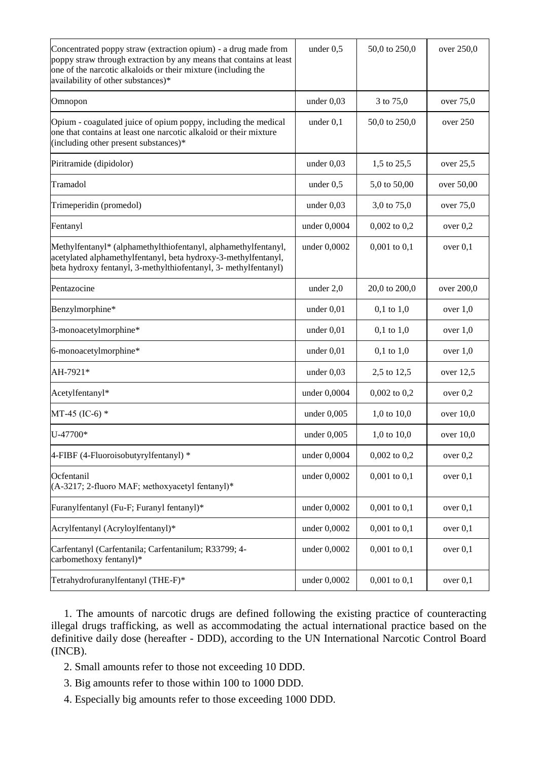| Concentrated poppy straw (extraction opium) - a drug made from<br>poppy straw through extraction by any means that contains at least<br>one of the narcotic alkaloids or their mixture (including the<br>availability of other substances)* | under $0,5$   | 50,0 to 250,0    | over 250,0  |
|---------------------------------------------------------------------------------------------------------------------------------------------------------------------------------------------------------------------------------------------|---------------|------------------|-------------|
| Omnopon                                                                                                                                                                                                                                     | under $0,03$  | 3 to 75,0        | over 75,0   |
| Opium - coagulated juice of opium poppy, including the medical<br>one that contains at least one narcotic alkaloid or their mixture<br>(including other present substances)*                                                                | under $0,1$   | 50,0 to 250,0    | over 250    |
| Piritramide (dipidolor)                                                                                                                                                                                                                     | under $0,03$  | 1,5 to 25,5      | over 25,5   |
| Tramadol                                                                                                                                                                                                                                    | under $0,5$   | 5,0 to 50,00     | over 50,00  |
| Trimeperidin (promedol)                                                                                                                                                                                                                     | under $0,03$  | 3,0 to 75,0      | over 75,0   |
| Fentanyl                                                                                                                                                                                                                                    | under 0,0004  | $0,002$ to $0,2$ | over $0,2$  |
| Methylfentanyl* (alphamethylthiofentanyl, alphamethylfentanyl,<br>acetylated alphamethylfentanyl, beta hydroxy-3-methylfentanyl,<br>beta hydroxy fentanyl, 3-methylthiofentanyl, 3- methylfentanyl)                                         | under 0,0002  | $0,001$ to $0,1$ | over $0,1$  |
| Pentazocine                                                                                                                                                                                                                                 | under $2,0$   | 20,0 to 200,0    | over 200,0  |
| Benzylmorphine*                                                                                                                                                                                                                             | under $0,01$  | $0,1$ to $1,0$   | over $1,0$  |
| 3-monoacetylmorphine*                                                                                                                                                                                                                       | under $0,01$  | $0,1$ to $1,0$   | over $1,0$  |
| 6-monoacetylmorphine*                                                                                                                                                                                                                       | under $0,01$  | $0,1$ to $1,0$   | over $1,0$  |
| AH-7921*                                                                                                                                                                                                                                    | under $0,03$  | 2,5 to 12,5      | over $12,5$ |
| Acetylfentanyl*                                                                                                                                                                                                                             | under 0,0004  | $0,002$ to $0,2$ | over $0,2$  |
| MT-45 (IC-6) $*$                                                                                                                                                                                                                            | under $0,005$ | 1,0 to $10,0$    | over $10,0$ |
| U-47700*                                                                                                                                                                                                                                    | under $0,005$ | 1,0 to $10,0$    | over $10,0$ |
| 4-FIBF (4-Fluoroisobutyrylfentanyl) *                                                                                                                                                                                                       | under 0,0004  | $0,002$ to $0,2$ | over $0,2$  |
| Ocfentanil<br>(A-3217; 2-fluoro MAF; methoxyacetyl fentanyl)*                                                                                                                                                                               | under 0,0002  | $0,001$ to $0,1$ | over $0,1$  |
| Furanylfentanyl (Fu-F; Furanyl fentanyl)*                                                                                                                                                                                                   | under 0,0002  | $0,001$ to $0,1$ | over $0,1$  |
| Acrylfentanyl (Acryloylfentanyl)*                                                                                                                                                                                                           | under 0,0002  | $0,001$ to $0,1$ | over $0,1$  |
| Carfentanyl (Carfentanila; Carfentanilum; R33799; 4-<br>carbomethoxy fentanyl)*                                                                                                                                                             | under 0,0002  | $0,001$ to $0,1$ | over $0,1$  |
| Tetrahydrofuranylfentanyl (THE-F)*                                                                                                                                                                                                          | under 0,0002  | $0,001$ to $0,1$ | over $0,1$  |

1. The amounts of narcotic drugs are defined following the existing practice of counteracting illegal drugs trafficking, as well as accommodating the actual international practice based on the definitive daily dose (hereafter - DDD), according to the UN International Narcotic Control Board (INCB).

2. Small amounts refer to those not exceeding 10 DDD.

3. Big amounts refer to those within 100 to 1000 DDD.

4. Especially big amounts refer to those exceeding 1000 DDD.